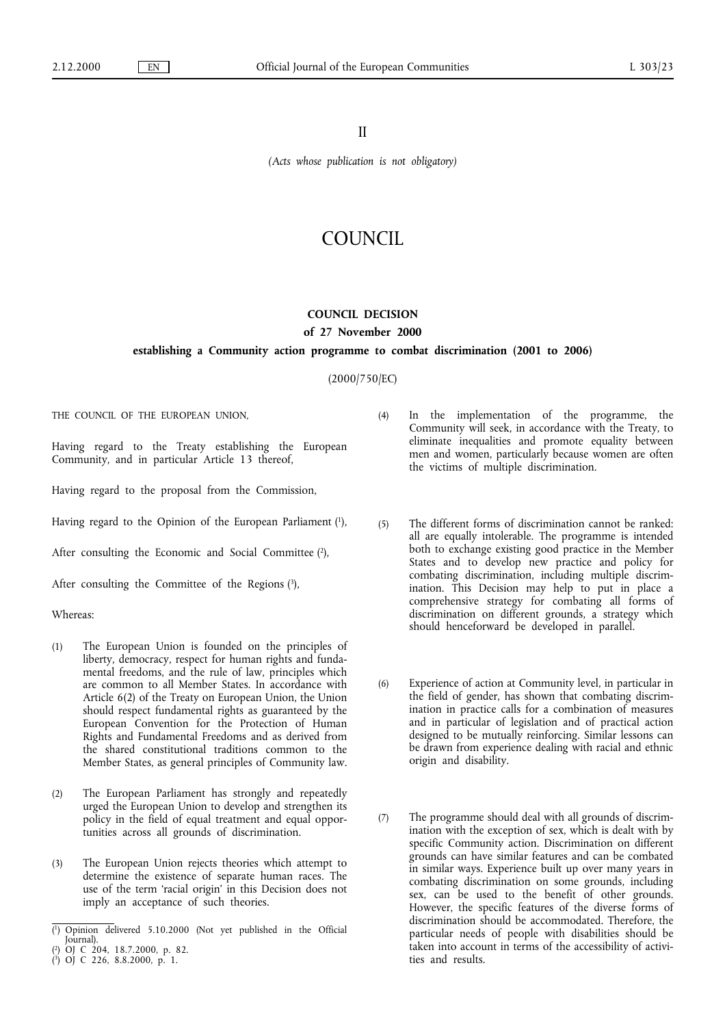II

*(Acts whose publication is not obligatory)*

# COUNCIL

# **COUNCIL DECISION of 27 November 2000**

# **establishing a Community action programme to combat discrimination (2001 to 2006)**

### (2000/750/EC)

THE COUNCIL OF THE EUROPEAN UNION,

Having regard to the Treaty establishing the European Community, and in particular Article 13 thereof,

Having regard to the proposal from the Commission,

Having regard to the Opinion of the European Parliament (1),

After consulting the Economic and Social Committee (2),

After consulting the Committee of the Regions  $(3)$ ,

Whereas:

- (1) The European Union is founded on the principles of liberty, democracy, respect for human rights and fundamental freedoms, and the rule of law, principles which are common to all Member States. In accordance with Article 6(2) of the Treaty on European Union, the Union should respect fundamental rights as guaranteed by the European Convention for the Protection of Human Rights and Fundamental Freedoms and as derived from the shared constitutional traditions common to the Member States, as general principles of Community law.
- (2) The European Parliament has strongly and repeatedly urged the European Union to develop and strengthen its policy in the field of equal treatment and equal opportunities across all grounds of discrimination.
- (3) The European Union rejects theories which attempt to determine the existence of separate human races. The use of the term 'racial origin' in this Decision does not imply an acceptance of such theories.
- (4) In the implementation of the programme, the Community will seek, in accordance with the Treaty, to eliminate inequalities and promote equality between men and women, particularly because women are often the victims of multiple discrimination.
- (5) The different forms of discrimination cannot be ranked: all are equally intolerable. The programme is intended both to exchange existing good practice in the Member States and to develop new practice and policy for combating discrimination, including multiple discrimination. This Decision may help to put in place a comprehensive strategy for combating all forms of discrimination on different grounds, a strategy which should henceforward be developed in parallel.
- (6) Experience of action at Community level, in particular in the field of gender, has shown that combating discrimination in practice calls for a combination of measures and in particular of legislation and of practical action designed to be mutually reinforcing. Similar lessons can be drawn from experience dealing with racial and ethnic origin and disability.
- (7) The programme should deal with all grounds of discrimination with the exception of sex, which is dealt with by specific Community action. Discrimination on different grounds can have similar features and can be combated in similar ways. Experience built up over many years in combating discrimination on some grounds, including sex, can be used to the benefit of other grounds. However, the specific features of the diverse forms of discrimination should be accommodated. Therefore, the particular needs of people with disabilities should be taken into account in terms of the accessibility of activities and results.

<sup>(</sup> 1) Opinion delivered 5.10.2000 (Not yet published in the Official Journal).

<sup>(</sup> 2) OJ C 204, 18.7.2000, p. 82. ( 3) OJ C 226, 8.8.2000, p. 1.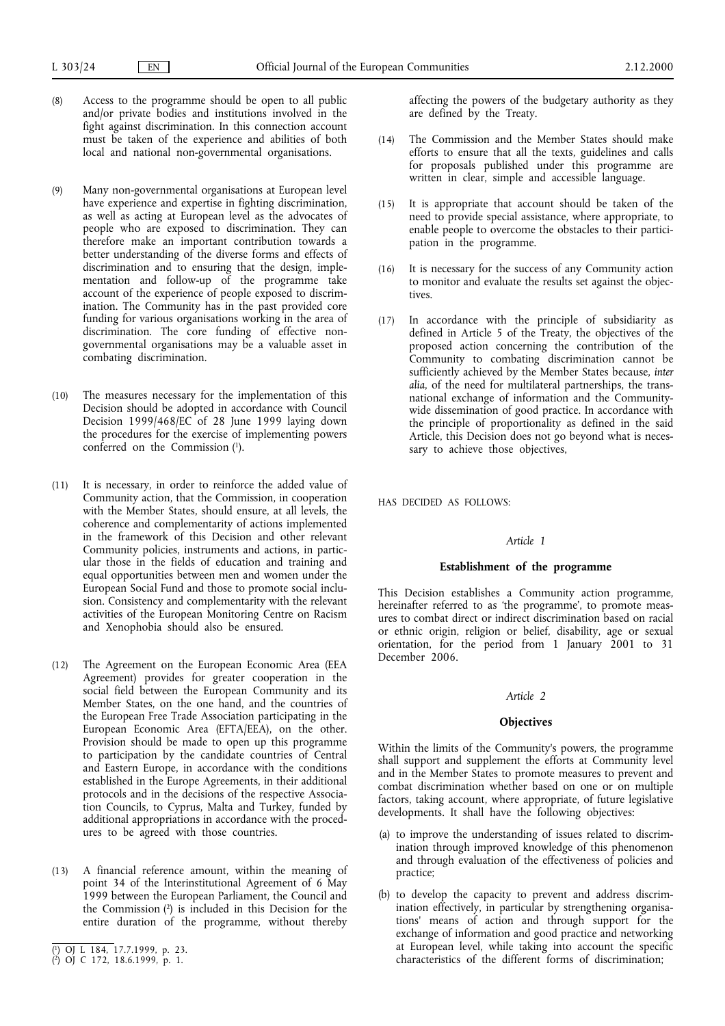- (8) Access to the programme should be open to all public and/or private bodies and institutions involved in the fight against discrimination. In this connection account must be taken of the experience and abilities of both local and national non-governmental organisations.
- (9) Many non-governmental organisations at European level have experience and expertise in fighting discrimination, as well as acting at European level as the advocates of people who are exposed to discrimination. They can therefore make an important contribution towards a better understanding of the diverse forms and effects of discrimination and to ensuring that the design, implementation and follow-up of the programme take account of the experience of people exposed to discrimination. The Community has in the past provided core funding for various organisations working in the area of discrimination. The core funding of effective nongovernmental organisations may be a valuable asset in combating discrimination.
- (10) The measures necessary for the implementation of this Decision should be adopted in accordance with Council Decision  $1999/468/EC$  of 28 June 1999 laying down the procedures for the exercise of implementing powers conferred on the Commission (1).
- (11) It is necessary, in order to reinforce the added value of Community action, that the Commission, in cooperation with the Member States, should ensure, at all levels, the coherence and complementarity of actions implemented in the framework of this Decision and other relevant Community policies, instruments and actions, in particular those in the fields of education and training and equal opportunities between men and women under the European Social Fund and those to promote social inclusion. Consistency and complementarity with the relevant activities of the European Monitoring Centre on Racism and Xenophobia should also be ensured.
- (12) The Agreement on the European Economic Area (EEA Agreement) provides for greater cooperation in the social field between the European Community and its Member States, on the one hand, and the countries of the European Free Trade Association participating in the European Economic Area (EFTA/EEA), on the other. Provision should be made to open up this programme to participation by the candidate countries of Central and Eastern Europe, in accordance with the conditions established in the Europe Agreements, in their additional protocols and in the decisions of the respective Association Councils, to Cyprus, Malta and Turkey, funded by additional appropriations in accordance with the procedures to be agreed with those countries.
- (13) A financial reference amount, within the meaning of point 34 of the Interinstitutional Agreement of 6 May 1999 between the European Parliament, the Council and the Commission (2) is included in this Decision for the entire duration of the programme, without thereby

affecting the powers of the budgetary authority as they are defined by the Treaty.

- (14) The Commission and the Member States should make efforts to ensure that all the texts, guidelines and calls for proposals published under this programme are written in clear, simple and accessible language.
- (15) It is appropriate that account should be taken of the need to provide special assistance, where appropriate, to enable people to overcome the obstacles to their participation in the programme.
- (16) It is necessary for the success of any Community action to monitor and evaluate the results set against the objectives.
- (17) In accordance with the principle of subsidiarity as defined in Article 5 of the Treaty, the objectives of the proposed action concerning the contribution of the Community to combating discrimination cannot be sufficiently achieved by the Member States because, *inter alia*, of the need for multilateral partnerships, the transnational exchange of information and the Communitywide dissemination of good practice. In accordance with the principle of proportionality as defined in the said Article, this Decision does not go beyond what is necessary to achieve those objectives,

HAS DECIDED AS FOLLOWS:

# *Article 1*

### **Establishment of the programme**

This Decision establishes a Community action programme, hereinafter referred to as 'the programme', to promote measures to combat direct or indirect discrimination based on racial or ethnic origin, religion or belief, disability, age or sexual orientation, for the period from 1 January 2001 to 31 December 2006.

# *Article 2*

#### **Objectives**

Within the limits of the Community's powers, the programme shall support and supplement the efforts at Community level and in the Member States to promote measures to prevent and combat discrimination whether based on one or on multiple factors, taking account, where appropriate, of future legislative developments. It shall have the following objectives:

- (a) to improve the understanding of issues related to discrimination through improved knowledge of this phenomenon and through evaluation of the effectiveness of policies and practice;
- (b) to develop the capacity to prevent and address discrimination effectively, in particular by strengthening organisations' means of action and through support for the exchange of information and good practice and networking at European level, while taking into account the specific characteristics of the different forms of discrimination;

<sup>1)</sup> OJ L 184, 17.7.1999, p. 23.

<sup>(</sup> 2) OJ C 172, 18.6.1999, p. 1.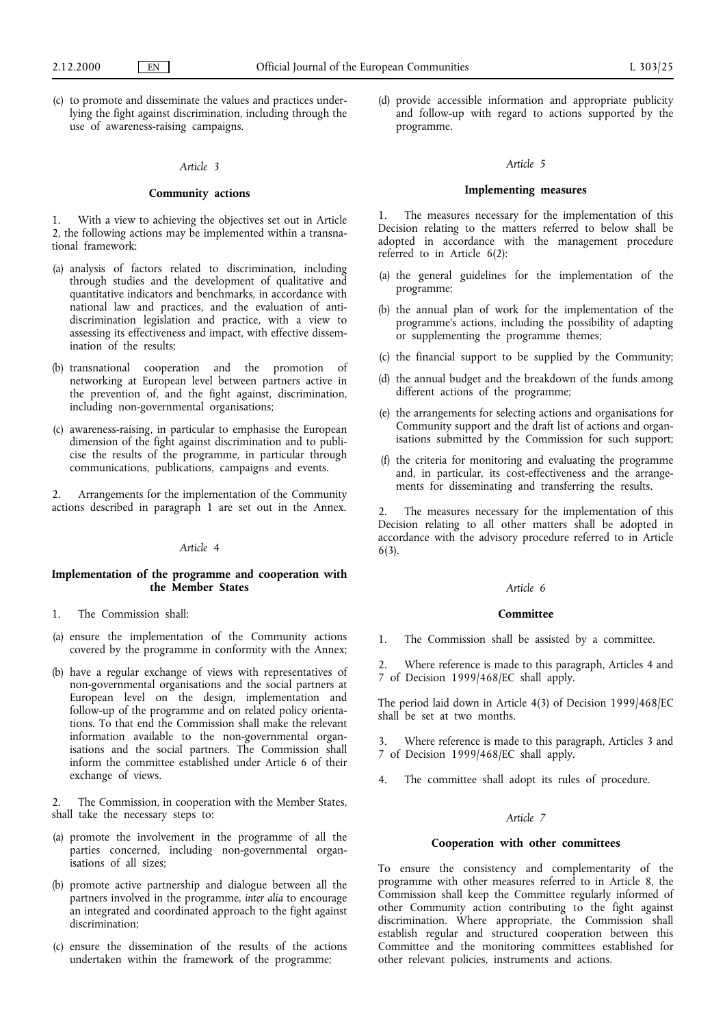(c) to promote and disseminate the values and practices underlying the fight against discrimination, including through the use of awareness-raising campaigns.

#### *Article 3*

#### **Community actions**

1. With a view to achieving the objectives set out in Article 2, the following actions may be implemented within a transnational framework:

- (a) analysis of factors related to discrimination, including through studies and the development of qualitative and quantitative indicators and benchmarks, in accordance with national law and practices, and the evaluation of antidiscrimination legislation and practice, with a view to assessing its effectiveness and impact, with effective dissemination of the results;
- (b) transnational cooperation and the promotion of networking at European level between partners active in the prevention of, and the fight against, discrimination, including non-governmental organisations;
- (c) awareness-raising, in particular to emphasise the European dimension of the fight against discrimination and to publicise the results of the programme, in particular through communications, publications, campaigns and events.

Arrangements for the implementation of the Community actions described in paragraph 1 are set out in the Annex.

#### *Article 4*

# Implementation of the programme and cooperation with **the Member States**

- 1. The Commission shall:
- (a) ensure the implementation of the Community actions covered by the programme in conformity with the Annex:
- (b) have a regular exchange of views with representatives of non-governmental organisations and the social partners at European level on the design, implementation and follow-up of the programme and on related policy orientations. To that end the Commission shall make the relevant information available to the non-governmental organisations and the social partners. The Commission shall inform the committee established under Article 6 of their exchange of views.

2. The Commission, in cooperation with the Member States, shall take the necessary steps to:

- (a) promote the involvement in the programme of all the parties concerned, including non-governmental organisations of all sizes;
- (b) promote active partnership and dialogue between all the partners involved in the programme, *inter alia* to encourage an integrated and coordinated approach to the fight against discrimination;
- (c) ensure the dissemination of the results of the actions undertaken within the framework of the programme;

(d) provide accessible information and appropriate publicity and follow-up with regard to actions supported by the programme.

#### *Article 5*

#### **Implementing measures**

The measures necessary for the implementation of this Decision relating to the matters referred to below shall be adopted in accordance with the management procedure referred to in Article 6(2):

- (a) the general guidelines for the implementation of the programme;
- (b) the annual plan of work for the implementation of the programme's actions, including the possibility of adapting or supplementing the programme themes;
- (c) the financial support to be supplied by the Community;
- (d) the annual budget and the breakdown of the funds among different actions of the programme;
- (e) the arrangements for selecting actions and organisations for Community support and the draft list of actions and organisations submitted by the Commission for such support;
- (f) the criteria for monitoring and evaluating the programme and, in particular, its cost-effectiveness and the arrangements for disseminating and transferring the results.

2. The measures necessary for the implementation of this Decision relating to all other matters shall be adopted in accordance with the advisory procedure referred to in Article 6(3).

#### *Article 6*

#### **Committee**

1. The Commission shall be assisted by a committee.

2. Where reference is made to this paragraph, Articles 4 and 7 of Decision 1999/468/EC shall apply.

The period laid down in Article 4(3) of Decision 1999/468/EC shall be set at two months.

Where reference is made to this paragraph, Articles 3 and 7 of Decision 1999/468/EC shall apply.

4. The committee shall adopt its rules of procedure.

# *Article 7*

# **Cooperation with other committees**

To ensure the consistency and complementarity of the programme with other measures referred to in Article 8, the Commission shall keep the Committee regularly informed of other Community action contributing to the fight against discrimination. Where appropriate, the Commission shall establish regular and structured cooperation between this Committee and the monitoring committees established for other relevant policies, instruments and actions.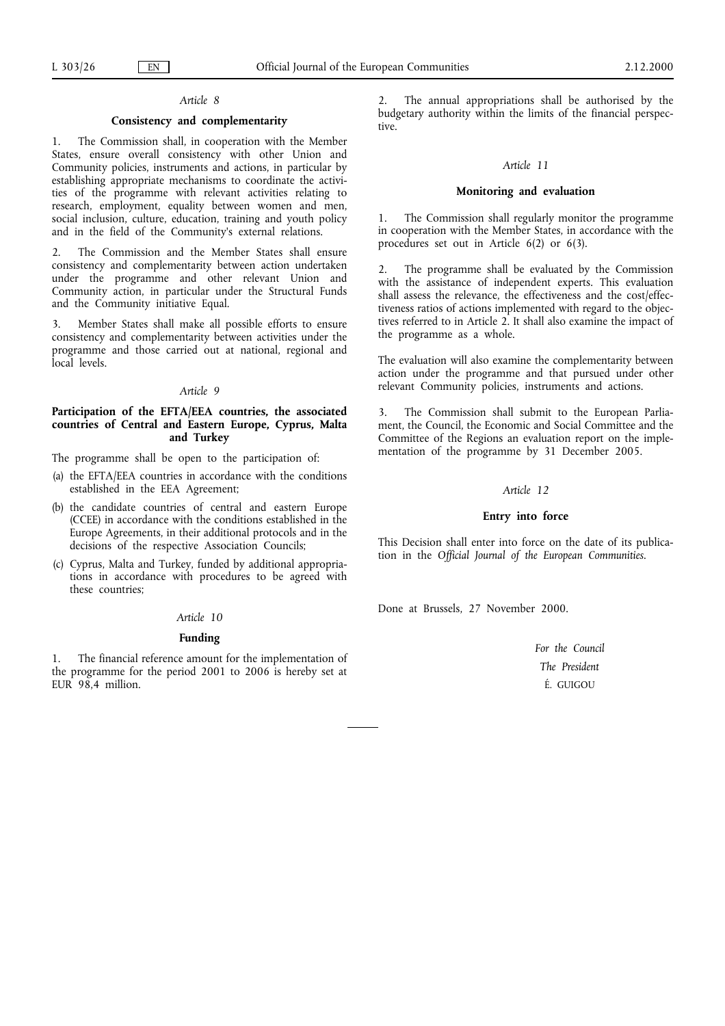# *Article 8*

# **Consistency and complementarity**

1. The Commission shall, in cooperation with the Member States, ensure overall consistency with other Union and Community policies, instruments and actions, in particular by establishing appropriate mechanisms to coordinate the activities of the programme with relevant activities relating to research, employment, equality between women and men, social inclusion, culture, education, training and youth policy and in the field of the Community's external relations.

2. The Commission and the Member States shall ensure consistency and complementarity between action undertaken under the programme and other relevant Union and Community action, in particular under the Structural Funds and the Community initiative Equal.

3. Member States shall make all possible efforts to ensure consistency and complementarity between activities under the programme and those carried out at national, regional and local levels.

#### *Article 9*

### **Participation of the EFTA/EEA countries, the associated** countries of Central and Eastern Europe, Cyprus, Malta and Turkey

The programme shall be open to the participation of:

- (a) the EFTA/EEA countries in accordance with the conditions established in the EEA Agreement;
- (b) the candidate countries of central and eastern Europe (CCEE) in accordance with the conditions established in the Europe Agreements, in their additional protocols and in the decisions of the respective Association Councils;
- (c) Cyprus, Malta and Turkey, funded by additional appropriations in accordance with procedures to be agreed with these countries;

#### *Article 10*

#### **Funding**

1. The financial reference amount for the implementation of the programme for the period 2001 to 2006 is hereby set at EUR 98,4 million.

The annual appropriations shall be authorised by the budgetary authority within the limits of the financial perspective.

#### *Article 11*

#### **Monitoring and evaluation**

1. The Commission shall regularly monitor the programme in cooperation with the Member States, in accordance with the procedures set out in Article 6(2) or 6(3).

2. The programme shall be evaluated by the Commission with the assistance of independent experts. This evaluation shall assess the relevance, the effectiveness and the cost/effectiveness ratios of actions implemented with regard to the objectives referred to in Article 2. It shall also examine the impact of the programme as a whole.

The evaluation will also examine the complementarity between action under the programme and that pursued under other relevant Community policies, instruments and actions.

3. The Commission shall submit to the European Parliament, the Council, the Economic and Social Committee and the Committee of the Regions an evaluation report on the implementation of the programme by 31 December 2005.

# *Article 12*

#### **Entry into force**

This Decision shall enter into force on the date of its publication in the *Official Journal of the European Communities*.

Done at Brussels, 27 November 2000.

*For the Council The President* É. GUIGOU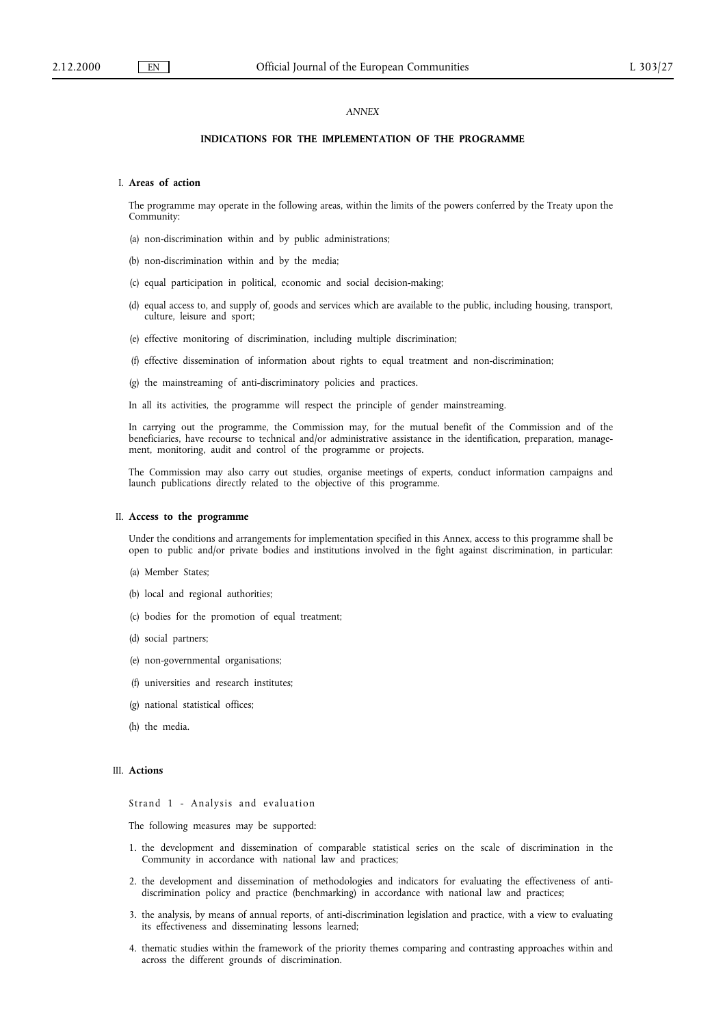### *ANNEX*

# **INDICATIONS FOR THE IMPLEMENTATION OF THE PROGRAMME**

# I. **Areas of action**

The programme may operate in the following areas, within the limits of the powers conferred by the Treaty upon the Community:

- (a) non-discrimination within and by public administrations;
- (b) non-discrimination within and by the media;
- (c) equal participation in political, economic and social decision-making;
- (d) equal access to, and supply of, goods and services which are available to the public, including housing, transport, culture, leisure and sport;
- (e) effective monitoring of discrimination, including multiple discrimination;
- (f) effective dissemination of information about rights to equal treatment and non-discrimination;
- (g) the mainstreaming of anti-discriminatory policies and practices.
- In all its activities, the programme will respect the principle of gender mainstreaming.

In carrying out the programme, the Commission may, for the mutual benefit of the Commission and of the beneficiaries, have recourse to technical and/or administrative assistance in the identification, preparation, management, monitoring, audit and control of the programme or projects.

The Commission may also carry out studies, organise meetings of experts, conduct information campaigns and launch publications directly related to the objective of this programme.

#### II. **Access to the programme**

Under the conditions and arrangements for implementation specified in this Annex, access to this programme shall be open to public and/or private bodies and institutions involved in the fight against discrimination, in particular:

- (a) Member States;
- (b) local and regional authorities;
- (c) bodies for the promotion of equal treatment;
- (d) social partners;
- (e) non-governmental organisations;
- (f) universities and research institutes;
- (g) national statistical offices;
- (h) the media.

### III. **Actions**

Strand 1 - Analysis and evaluation

The following measures may be supported:

- 1. the development and dissemination of comparable statistical series on the scale of discrimination in the Community in accordance with national law and practices;
- 2. the development and dissemination of methodologies and indicators for evaluating the effectiveness of antidiscrimination policy and practice (benchmarking) in accordance with national law and practices;
- 3. the analysis, by means of annual reports, of anti-discrimination legislation and practice, with a view to evaluating its effectiveness and disseminating lessons learned;
- 4. thematic studies within the framework of the priority themes comparing and contrasting approaches within and across the different grounds of discrimination.